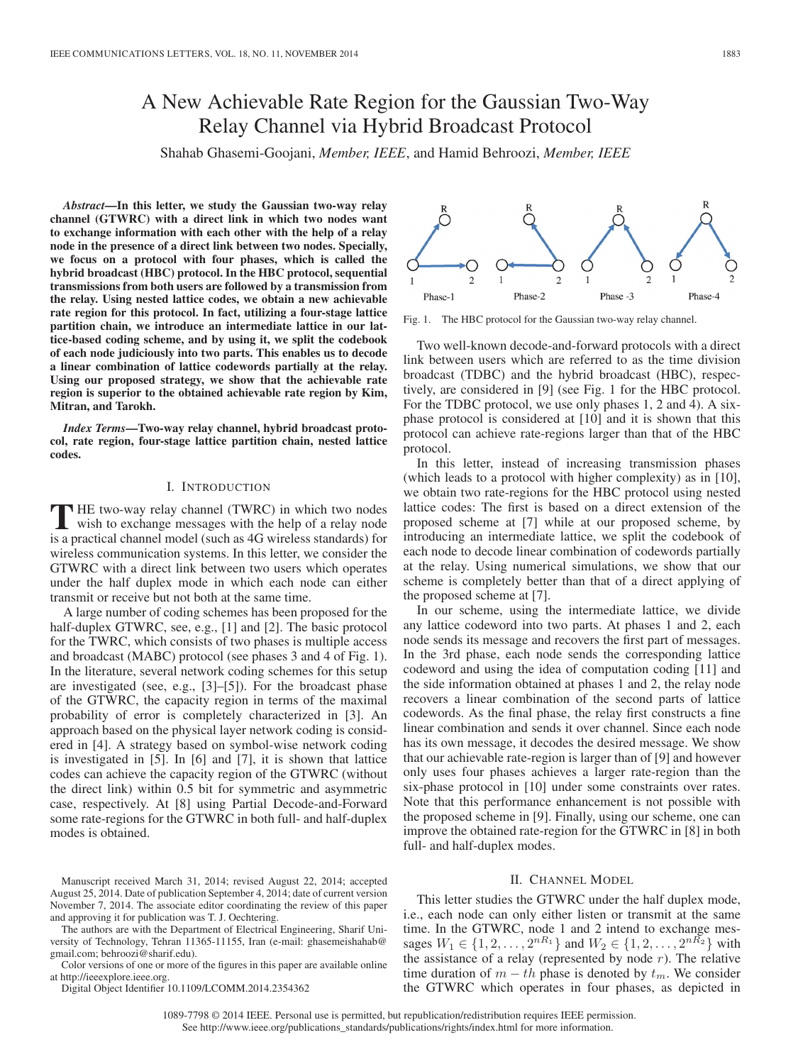# A New Achievable Rate Region for the Gaussian Two-Way Relay Channel via Hybrid Broadcast Protocol

Shahab Ghasemi-Goojani, *Member, IEEE*, and Hamid Behroozi, *Member, IEEE*

*Abstract***—In this letter, we study the Gaussian two-way relay channel (GTWRC) with a direct link in which two nodes want to exchange information with each other with the help of a relay node in the presence of a direct link between two nodes. Specially, we focus on a protocol with four phases, which is called the hybrid broadcast (HBC) protocol. In the HBC protocol, sequential transmissions from both users are followed by a transmission from the relay. Using nested lattice codes, we obtain a new achievable rate region for this protocol. In fact, utilizing a four-stage lattice partition chain, we introduce an intermediate lattice in our lattice-based coding scheme, and by using it, we split the codebook of each node judiciously into two parts. This enables us to decode a linear combination of lattice codewords partially at the relay. Using our proposed strategy, we show that the achievable rate region is superior to the obtained achievable rate region by Kim, Mitran, and Tarokh.**

*Index Terms***—Two-way relay channel, hybrid broadcast protocol, rate region, four-stage lattice partition chain, nested lattice codes.**

## I. INTRODUCTION

**T** HE two-way relay channel (TWRC) in which two nodes wish to exchange messages with the help of a relay node is a practical channel model (such as 4G wireless standards) for wireless communication systems. In this letter, we consider the GTWRC with a direct link between two users which operates under the half duplex mode in which each node can either transmit or receive but not both at the same time.

A large number of coding schemes has been proposed for the half-duplex GTWRC, see, e.g., [1] and [2]. The basic protocol for the TWRC, which consists of two phases is multiple access and broadcast (MABC) protocol (see phases 3 and 4 of Fig. 1). In the literature, several network coding schemes for this setup are investigated (see, e.g., [3]–[5]). For the broadcast phase of the GTWRC, the capacity region in terms of the maximal probability of error is completely characterized in [3]. An approach based on the physical layer network coding is considered in [4]. A strategy based on symbol-wise network coding is investigated in [5]. In [6] and [7], it is shown that lattice codes can achieve the capacity region of the GTWRC (without the direct link) within 0.5 bit for symmetric and asymmetric case, respectively. At [8] using Partial Decode-and-Forward some rate-regions for the GTWRC in both full- and half-duplex modes is obtained.



The authors are with the Department of Electrical Engineering, Sharif University of Technology, Tehran 11365-11155, Iran (e-mail: ghasemeishahab@ gmail.com; behroozi@sharif.edu).

Color versions of one or more of the figures in this paper are available online at http://ieeexplore.ieee.org.

Digital Object Identifier 10.1109/LCOMM.2014.2354362



Fig. 1. The HBC protocol for the Gaussian two-way relay channel.

Two well-known decode-and-forward protocols with a direct link between users which are referred to as the time division broadcast (TDBC) and the hybrid broadcast (HBC), respectively, are considered in [9] (see Fig. 1 for the HBC protocol. For the TDBC protocol, we use only phases 1, 2 and 4). A sixphase protocol is considered at [10] and it is shown that this protocol can achieve rate-regions larger than that of the HBC protocol.

In this letter, instead of increasing transmission phases (which leads to a protocol with higher complexity) as in [10], we obtain two rate-regions for the HBC protocol using nested lattice codes: The first is based on a direct extension of the proposed scheme at [7] while at our proposed scheme, by introducing an intermediate lattice, we split the codebook of each node to decode linear combination of codewords partially at the relay. Using numerical simulations, we show that our scheme is completely better than that of a direct applying of the proposed scheme at [7].

In our scheme, using the intermediate lattice, we divide any lattice codeword into two parts. At phases 1 and 2, each node sends its message and recovers the first part of messages. In the 3rd phase, each node sends the corresponding lattice codeword and using the idea of computation coding [11] and the side information obtained at phases 1 and 2, the relay node recovers a linear combination of the second parts of lattice codewords. As the final phase, the relay first constructs a fine linear combination and sends it over channel. Since each node has its own message, it decodes the desired message. We show that our achievable rate-region is larger than of [9] and however only uses four phases achieves a larger rate-region than the six-phase protocol in [10] under some constraints over rates. Note that this performance enhancement is not possible with the proposed scheme in [9]. Finally, using our scheme, one can improve the obtained rate-region for the GTWRC in [8] in both full- and half-duplex modes.

### II. CHANNEL MODEL

This letter studies the GTWRC under the half duplex mode, i.e., each node can only either listen or transmit at the same time. In the GTWRC, node 1 and 2 intend to exchange messages  $W_1 \in \{1, 2, ..., 2^{nR_1}\}\$ and  $W_2 \in \{1, 2, ..., 2^{nR_2}\}\$  with the assistance of a relay (represented by node  $r$ ). The relative time duration of  $m - th$  phase is denoted by  $t_m$ . We consider the GTWRC which operates in four phases, as depicted in

1089-7798 © 2014 IEEE. Personal use is permitted, but republication/redistribution requires IEEE permission. See http://www.ieee.org/publications\_standards/publications/rights/index.html for more information.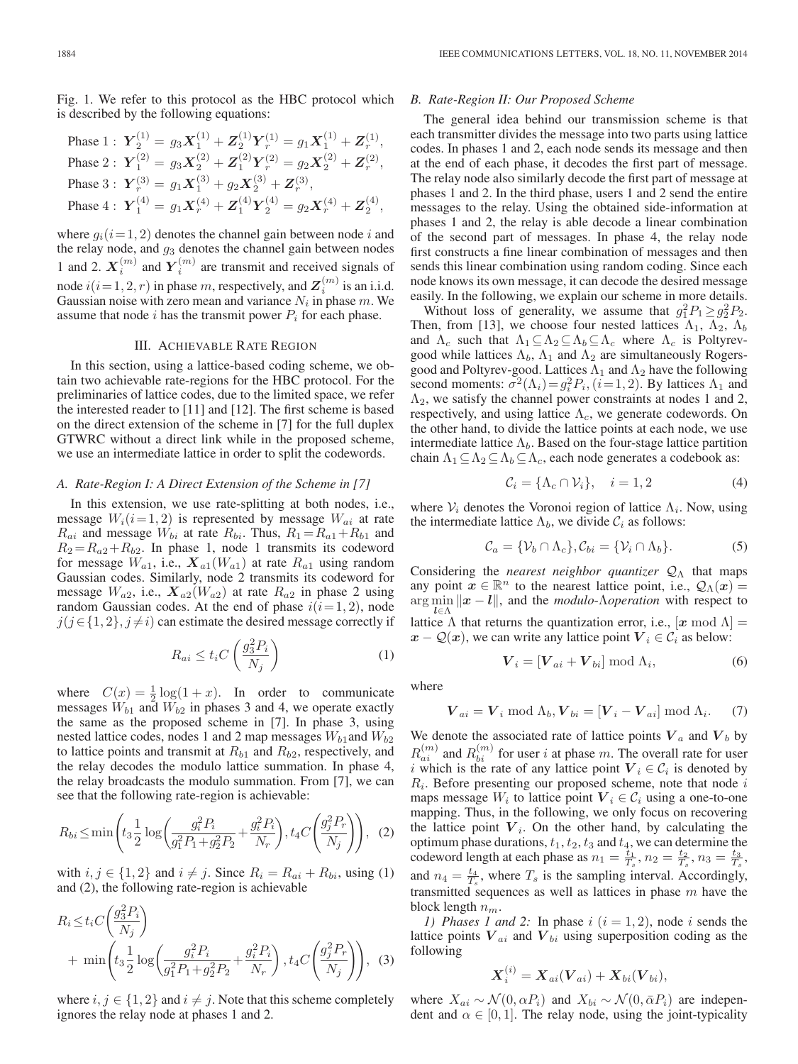Fig. 1. We refer to this protocol as the HBC protocol which is described by the following equations:

Phase 1 : 
$$
Y_2^{(1)} = g_3 X_1^{(1)} + Z_2^{(1)} Y_r^{(1)} = g_1 X_1^{(1)} + Z_r^{(1)}
$$
,  
\nPhase 2 :  $Y_1^{(2)} = g_3 X_2^{(2)} + Z_1^{(2)} Y_r^{(2)} = g_2 X_2^{(2)} + Z_r^{(2)}$ ,  
\nPhase 3 :  $Y_r^{(3)} = g_1 X_1^{(3)} + g_2 X_2^{(3)} + Z_r^{(3)}$ ,  
\nPhase 4 :  $Y_1^{(4)} = g_1 X_r^{(4)} + Z_1^{(4)} Y_2^{(4)} = g_2 X_r^{(4)} + Z_2^{(4)}$ ,

where  $g_i(i=1, 2)$  denotes the channel gain between node i and the relay node, and  $g_3$  denotes the channel gain between nodes 1 and 2.  $X_i^{(m)}$  and  $Y_i^{(m)}$  are transmit and received signals of node  $i(i = 1, 2, r)$  in phase m, respectively, and  $\mathbf{Z}^{(m)}_i$  is an i.i.d. Gaussian noise with zero mean and variance  $N_i$  in phase m. We assume that node i has the transmit power  $P_i$  for each phase.

## III. ACHIEVABLE RATE REGION

In this section, using a lattice-based coding scheme, we obtain two achievable rate-regions for the HBC protocol. For the preliminaries of lattice codes, due to the limited space, we refer the interested reader to [11] and [12]. The first scheme is based on the direct extension of the scheme in [7] for the full duplex GTWRC without a direct link while in the proposed scheme, we use an intermediate lattice in order to split the codewords.

#### *A. Rate-Region I: A Direct Extension of the Scheme in [7]*

In this extension, we use rate-splitting at both nodes, i.e., message  $W_i(i=1, 2)$  is represented by message  $W_{ai}$  at rate  $R_{ai}$  and message  $W_{bi}$  at rate  $R_{bi}$ . Thus,  $R_1 = R_{a1} + R_{b1}$  and  $R_2 = R_{a2} + R_{b2}$ . In phase 1, node 1 transmits its codeword for message  $W_{a1}$ , i.e.,  $\mathbf{X}_{a1}(W_{a1})$  at rate  $R_{a1}$  using random Gaussian codes. Similarly, node 2 transmits its codeword for message  $W_{a2}$ , i.e.,  $\mathbf{X}_{a2}(W_{a2})$  at rate  $R_{a2}$  in phase 2 using random Gaussian codes. At the end of phase  $i(i=1, 2)$ , node  $j(j \in \{1, 2\}, j \neq i)$  can estimate the desired message correctly if

$$
R_{ai} \le t_i C \left(\frac{g_3^2 P_i}{N_j}\right) \tag{1}
$$

where  $C(x) = \frac{1}{2} \log(1+x)$ . In order to communicate messages  $W_{b1}$  and  $W_{b2}$  in phases 3 and 4, we operate exactly the same as the proposed scheme in [7]. In phase 3, using nested lattice codes, nodes 1 and 2 map messages  $W_{b1}$  and  $W_{b2}$ to lattice points and transmit at  $R_{b1}$  and  $R_{b2}$ , respectively, and the relay decodes the modulo lattice summation. In phase 4, the relay broadcasts the modulo summation. From [7], we can see that the following rate-region is achievable:

$$
R_{bi} \le \min\left(t_3 \frac{1}{2} \log\left(\frac{g_i^2 P_i}{g_1^2 P_1 + g_2^2 P_2} + \frac{g_i^2 P_i}{N_r}\right), t_4 C \left(\frac{g_j^2 P_r}{N_j}\right)\right), (2)
$$

with  $i, j \in \{1, 2\}$  and  $i \neq j$ . Since  $R_i = R_{ai} + R_{bi}$ , using (1) and (2), the following rate-region is achievable

$$
R_i \le t_i C \left(\frac{g_3^2 P_i}{N_j}\right) + \min \left(t_3 \frac{1}{2} \log \left(\frac{g_i^2 P_i}{g_1^2 P_1 + g_2^2 P_2} + \frac{g_i^2 P_i}{N_r}\right), t_4 C \left(\frac{g_j^2 P_r}{N_j}\right)\right),
$$
 (3)

where  $i, j \in \{1, 2\}$  and  $i \neq j$ . Note that this scheme completely ignores the relay node at phases 1 and 2.

#### *B. Rate-Region II: Our Proposed Scheme*

The general idea behind our transmission scheme is that each transmitter divides the message into two parts using lattice codes. In phases 1 and 2, each node sends its message and then at the end of each phase, it decodes the first part of message. The relay node also similarly decode the first part of message at phases 1 and 2. In the third phase, users 1 and 2 send the entire messages to the relay. Using the obtained side-information at phases 1 and 2, the relay is able decode a linear combination of the second part of messages. In phase 4, the relay node first constructs a fine linear combination of messages and then sends this linear combination using random coding. Since each node knows its own message, it can decode the desired message easily. In the following, we explain our scheme in more details.

Without loss of generality, we assume that  $g_1^2 P_1 \ge g_2^2 P_2$ . Then, from [13], we choose four nested lattices  $\Lambda_1$ ,  $\Lambda_2$ ,  $\Lambda_b$ and  $\Lambda_c$  such that  $\Lambda_1 \subseteq \Lambda_2 \subseteq \Lambda_b \subseteq \Lambda_c$  where  $\Lambda_c$  is Poltyrevgood while lattices  $\Lambda_b$ ,  $\Lambda_1$  and  $\Lambda_2$  are simultaneously Rogersgood and Poltyrev-good. Lattices  $\Lambda_1$  and  $\Lambda_2$  have the following second moments:  $\sigma^2(\Lambda_i) = g_i^2 P_i$ ,  $(i=1, 2)$ . By lattices  $\Lambda_1$  and  $\Lambda_2$ , we satisfy the channel power constraints at nodes 1 and 2, respectively, and using lattice  $\Lambda_c$ , we generate codewords. On the other hand, to divide the lattice points at each node, we use intermediate lattice  $\Lambda_b$ . Based on the four-stage lattice partition chain  $\Lambda_1 \subseteq \Lambda_2 \subseteq \Lambda_b \subseteq \Lambda_c$ , each node generates a codebook as:

$$
\mathcal{C}_i = \{\Lambda_c \cap \mathcal{V}_i\}, \quad i = 1, 2 \tag{4}
$$

where  $V_i$  denotes the Voronoi region of lattice  $\Lambda_i$ . Now, using the intermediate lattice  $\Lambda_b$ , we divide  $\mathcal{C}_i$  as follows:

$$
\mathcal{C}_a = \{\mathcal{V}_b \cap \Lambda_c\}, \mathcal{C}_{bi} = \{\mathcal{V}_i \cap \Lambda_b\}.
$$
 (5)

Considering the *nearest neighbor quantizer*  $Q_Λ$  that maps any point  $x \in \mathbb{R}^n$  to the nearest lattice point, i.e.,  $\mathcal{Q}_{\Lambda}(x) =$  $\arg \min ||x - l||$ , and the *modulo-Λoperation* with respect to lattice  $\Lambda$  that returns the quantization error, i.e.,  $[x \mod \Lambda] =$  $x - Q(x)$ , we can write any lattice point  $V_i \in C_i$  as below:

$$
\boldsymbol{V}_i = [\boldsymbol{V}_{ai} + \boldsymbol{V}_{bi}] \bmod \Lambda_i, \tag{6}
$$

where

$$
\boldsymbol{V}_{ai} = \boldsymbol{V}_i \bmod \Lambda_b, \boldsymbol{V}_{bi} = [\boldsymbol{V}_i - \boldsymbol{V}_{ai}] \bmod \Lambda_i. \tag{7}
$$

We denote the associated rate of lattice points  $V_a$  and  $V_b$  by  $R_{ai}^{(m)}$  and  $R_{bi}^{(m)}$  for user *i* at phase *m*. The overall rate for user i which is the rate of any lattice point  $V_i \in \mathcal{C}_i$  is denoted by  $R_i$ . Before presenting our proposed scheme, note that node i maps message  $W_i$  to lattice point  $V_i \in \mathcal{C}_i$  using a one-to-one mapping. Thus, in the following, we only focus on recovering the lattice point  $V_i$ . On the other hand, by calculating the optimum phase durations,  $t_1$ ,  $t_2$ ,  $t_3$  and  $t_4$ , we can determine the codeword length at each phase as  $n_1 = \frac{\overline{t}_1}{T_s}$ ,  $n_2 = \frac{t_2}{T_s}$ ,  $n_3 = \frac{t_3}{T_s}$ , and  $n_4 = \frac{t_4}{T_s}$ , where  $T_s$  is the sampling interval. Accordingly, transmitted sequences as well as lattices in phase  $m$  have the block length  $n_m$ .

*1) Phases 1 and 2:* In phase  $i$   $(i = 1, 2)$ , node  $i$  sends the lattice points  $V_{ai}$  and  $V_{bi}$  using superposition coding as the following

$$
\boldsymbol{X}_i^{(i)} = \boldsymbol{X}_{ai}(\boldsymbol{V}_{ai}) + \boldsymbol{X}_{bi}(\boldsymbol{V}_{bi}),
$$

where  $X_{ai} \sim \mathcal{N}(0, \alpha P_i)$  and  $X_{bi} \sim \mathcal{N}(0, \bar{\alpha} P_i)$  are independent and  $\alpha \in [0, 1]$ . The relay node, using the joint-typicality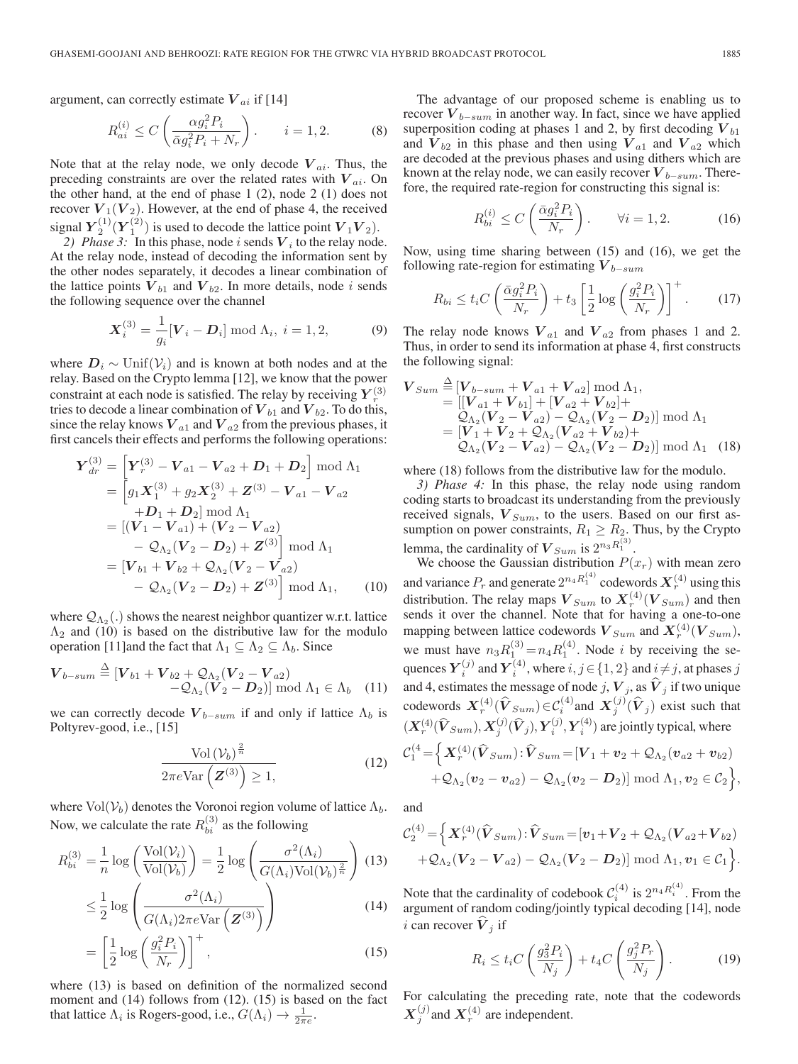argument, can correctly estimate  $V_{ai}$  if [14]

$$
R_{ai}^{(i)} \le C \left( \frac{\alpha g_i^2 P_i}{\bar{\alpha} g_i^2 P_i + N_r} \right), \qquad i = 1, 2. \tag{8}
$$

Note that at the relay node, we only decode  $V_{ai}$ . Thus, the preceding constraints are over the related rates with  $V_{ai}$ . On the other hand, at the end of phase 1 (2), node 2 (1) does not recover  $V_1(V_2)$ . However, at the end of phase 4, the received signal  $Y_2^{(1)}(Y_1^{(2)})$  is used to decode the lattice point  $V_1V_2$ ).

2) Phase 3: In this phase, node i sends  $V_i$  to the relay node. At the relay node, instead of decoding the information sent by the other nodes separately, it decodes a linear combination of the lattice points  $V_{b1}$  and  $V_{b2}$ . In more details, node i sends the following sequence over the channel

$$
\mathbf{X}_i^{(3)} = \frac{1}{g_i} [\mathbf{V}_i - \mathbf{D}_i] \bmod \Lambda_i, \ i = 1, 2,
$$
 (9)

where  $D_i \sim \text{Unif}(\mathcal{V}_i)$  and is known at both nodes and at the relay. Based on the Crypto lemma [12], we know that the power constraint at each node is satisfied. The relay by receiving  $Y_r^{(3)}$ tries to decode a linear combination of  $V_{b1}$  and  $V_{b2}$ . To do this, since the relay knows  $V_{a1}$  and  $V_{a2}$  from the previous phases, it first cancels their effects and performs the following operations:

$$
\mathbf{Y}_{dr}^{(3)} = \left[ \mathbf{Y}_r^{(3)} - \mathbf{V}_{a1} - \mathbf{V}_{a2} + \mathbf{D}_1 + \mathbf{D}_2 \right] \bmod \Lambda_1
$$
  
\n
$$
= \left[ g_1 \mathbf{X}_1^{(3)} + g_2 \mathbf{X}_2^{(3)} + \mathbf{Z}^{(3)} - \mathbf{V}_{a1} - \mathbf{V}_{a2} \right]
$$
  
\n
$$
+ \mathbf{D}_1 + \mathbf{D}_2 \bmod \Lambda_1
$$
  
\n
$$
= \left[ (\mathbf{V}_1 - \mathbf{V}_{a1}) + (\mathbf{V}_2 - \mathbf{V}_{a2}) \right]
$$
  
\n
$$
- \mathcal{Q}_{\Lambda_2} (\mathbf{V}_2 - \mathbf{D}_2) + \mathbf{Z}^{(3)} \bmod \Lambda_1
$$
  
\n
$$
= \left[ \mathbf{V}_{b1} + \mathbf{V}_{b2} + \mathcal{Q}_{\Lambda_2} (\mathbf{V}_2 - \mathbf{V}_{a2}) \right]
$$
  
\n
$$
- \mathcal{Q}_{\Lambda_2} (\mathbf{V}_2 - \mathbf{D}_2) + \mathbf{Z}^{(3)} \bmod \Lambda_1, \qquad (10)
$$

where  $\mathcal{Q}_{\Lambda_2}$ (.) shows the nearest neighbor quantizer w.r.t. lattice  $\Lambda_2$  and (10) is based on the distributive law for the modulo operation [11]and the fact that  $\Lambda_1 \subseteq \Lambda_2 \subseteq \Lambda_b$ . Since

$$
\boldsymbol{V}_{b-sum} \stackrel{\Delta}{=} [\boldsymbol{V}_{b1} + \boldsymbol{V}_{b2} + \mathcal{Q}_{\Lambda_2} (\boldsymbol{V}_2 - \boldsymbol{V}_{a2}) -\mathcal{Q}_{\Lambda_2} (\boldsymbol{V}_2 - \boldsymbol{D}_2)] \bmod \Lambda_1 \in \Lambda_b \quad (11)
$$

we can correctly decode  $V_{b-sum}$  if and only if lattice  $\Lambda_b$  is Poltyrev-good, i.e., [15]

$$
\frac{\text{Vol}\left(\mathcal{V}_b\right)^{\frac{2}{n}}}{2\pi e \text{Var}\left(\mathbf{Z}^{(3)}\right) \ge 1},\tag{12}
$$

where  $Vol(V_b)$  denotes the Voronoi region volume of lattice  $\Lambda_b$ . Now, we calculate the rate  $R_{bi}^{(3)}$  as the following

$$
R_{bi}^{(3)} = \frac{1}{n} \log \left( \frac{\text{Vol}(\mathcal{V}_i)}{\text{Vol}(\mathcal{V}_b)} \right) = \frac{1}{2} \log \left( \frac{\sigma^2(\Lambda_i)}{G(\Lambda_i)\text{Vol}(\mathcal{V}_b)^{\frac{2}{n}}} \right) (13)
$$
  

$$
\leq \frac{1}{2} \log \left( \frac{\sigma^2(\Lambda_i)}{G(\Lambda_i)2\pi e \text{Var} \left( \mathbf{Z}^{(3)} \right)} \right)
$$
  

$$
= \left[ \frac{1}{2} \log \left( \frac{g_i^2 P_i}{N_r} \right) \right]^+, \tag{15}
$$

where (13) is based on definition of the normalized second moment and (14) follows from (12). (15) is based on the fact that lattice  $\Lambda_i$  is Rogers-good, i.e.,  $G(\Lambda_i) \to \frac{1}{2\pi e}$ .

The advantage of our proposed scheme is enabling us to recover  $V_{b-sum}$  in another way. In fact, since we have applied superposition coding at phases 1 and 2, by first decoding  $V_{b1}$ and  $V_{b2}$  in this phase and then using  $V_{a1}$  and  $V_{a2}$  which are decoded at the previous phases and using dithers which are known at the relay node, we can easily recover  $V_{b-sum}$ . Therefore, the required rate-region for constructing this signal is:

$$
R_{bi}^{(i)} \le C\left(\frac{\bar{\alpha}g_i^2 P_i}{N_r}\right). \qquad \forall i = 1, 2. \tag{16}
$$

Now, using time sharing between (15) and (16), we get the following rate-region for estimating  $V_{b-sum}$ 

$$
R_{bi} \le t_i C \left(\frac{\bar{\alpha} g_i^2 P_i}{N_r}\right) + t_3 \left[\frac{1}{2} \log \left(\frac{g_i^2 P_i}{N_r}\right)\right]^+.
$$
 (17)

The relay node knows  $V_{a1}$  and  $V_{a2}$  from phases 1 and 2. Thus, in order to send its information at phase 4, first constructs the following signal:

$$
\mathbf{V}_{Sum} \stackrel{\Delta}{=} [\mathbf{V}_{b-sum} + \mathbf{V}_{a1} + \mathbf{V}_{a2}] \bmod \Lambda_1,\n= [[\mathbf{V}_{a1} + \mathbf{V}_{b1}] + [\mathbf{V}_{a2} + \mathbf{V}_{b2}] +\n\mathcal{Q}_{\Lambda_2} (\mathbf{V}_2 - \mathbf{V}_{a2}) - \mathcal{Q}_{\Lambda_2} (\mathbf{V}_2 - \mathbf{D}_2)] \bmod \Lambda_1\n= [\mathbf{V}_1 + \mathbf{V}_2 + \mathcal{Q}_{\Lambda_2} (\mathbf{V}_{a2} + \mathbf{V}_{b2}) +\n\mathcal{Q}_{\Lambda_2} (\mathbf{V}_2 - \mathbf{V}_{a2}) - \mathcal{Q}_{\Lambda_2} (\mathbf{V}_2 - \mathbf{D}_2)] \bmod \Lambda_1 (18)
$$

where  $(18)$  follows from the distributive law for the modulo.

*3) Phase 4:* In this phase, the relay node using random coding starts to broadcast its understanding from the previously received signals,  $V_{Sum}$ , to the users. Based on our first assumption on power constraints,  $R_1 \geq R_2$ . Thus, by the Crypto lemma, the cardinality of  $V_{Sum}$  is  $2^{n_3 R_1^{(3)}}$ .

We choose the Gaussian distribution  $P(x_r)$  with mean zero and variance  $P_r$  and generate  $2^{n_4 R_1^{(4)}}$  codewords  $\boldsymbol{X}_r^{(4)}$  using this distribution. The relay maps  $V_{Sum}$  to  $X_r^{(4)}(V_{Sum})$  and then sends it over the channel. Note that for having a one-to-one mapping between lattice codewords  $\boldsymbol{V}_{Sum}$  and  $\boldsymbol{X}_{r}^{(4)}(\boldsymbol{V}_{Sum})$ , we must have  $n_3 R_1^{(3)} = n_4 R_1^{(4)}$ . Node *i* by receiving the sequences  $\boldsymbol{Y}_i^{(j)}$  and  $\boldsymbol{Y}_i^{(4)}$ , where  $i, j \in \{1, 2\}$  and  $i \neq j$ , at phases  $j$ and 4, estimates the message of node j,  $V_j$ , as  $\hat{V}_j$  if two unique codewords  $X_r^{(4)}(\hat{V}_{Sum}) \in C_i^{(4)}$  and  $X_j^{(j)}(\hat{V}_j)$  exist such that  $(X^{(4)}_r(\hat{V}_{Sum}), X^{(j)}_j(\hat{V}_j), Y^{(j)}_i, Y^{(4)}_i)$  are jointly typical, where  $\mathcal{C}_1^{(4)} \!=\! \Big\{ \bm{X}_r^{(4)} (\bm{\widehat{V}}_{Sum}) \!:\! \bm{\widehat{V}}_{Sum} \!=\! \left[V_1 + \bm{v}_2 + \mathcal{Q}_{\Lambda_2} (\bm{v}_{a2} + \bm{v}_{b2}) \right]$  $+\mathcal{Q}_{\Lambda_2}(\boldsymbol{v}_2 - \boldsymbol{v}_{a2}) - \mathcal{Q}_{\Lambda_2}(\boldsymbol{v}_2 - \boldsymbol{D}_2)] \bmod \Lambda_1, \boldsymbol{v}_2 \in \mathcal{C}_2 \Big\},$ 

and

$$
\mathcal{C}_2^{(4)} = \Big\{ \mathbf{X}_r^{(4)}(\widehat{\mathbf{V}}_{Sum}) : \widehat{\mathbf{V}}_{Sum} = [\mathbf{v}_1 + \mathbf{V}_2 + \mathcal{Q}_{\Lambda_2}(\mathbf{V}_{a2} + \mathbf{V}_{b2}) + \mathcal{Q}_{\Lambda_2}(\mathbf{V}_2 - \mathbf{V}_{a2}) - \mathcal{Q}_{\Lambda_2}(\mathbf{V}_2 - \mathbf{D}_2)] \bmod \Lambda_1, \mathbf{v}_1 \in \mathcal{C}_1 \Big\}.
$$

Note that the cardinality of codebook  $\mathcal{C}_i^{(4)}$  is  $2^{n_4 R_i^{(4)}}$ . From the argument of random coding/jointly typical decoding [14], node i can recover  $V_j$  if

$$
R_i \le t_i C \left(\frac{g_3^2 P_i}{N_j}\right) + t_4 C \left(\frac{g_j^2 P_r}{N_j}\right). \tag{19}
$$

For calculating the preceding rate, note that the codewords  $X_j^{(j)}$  and  $X_r^{(4)}$  are independent.